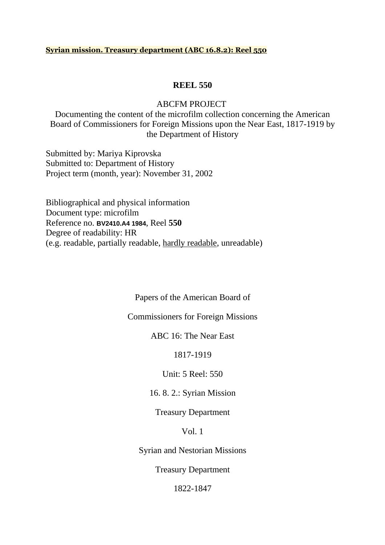#### **Syrian mission. Treasury department (ABC 16.8.2): Reel 550**

### **REEL 550**

#### ABCFM PROJECT

Documenting the content of the microfilm collection concerning the American Board of Commissioners for Foreign Missions upon the Near East, 1817-1919 by the Department of History

Submitted by: Mariya Kiprovska Submitted to: Department of History Project term (month, year): November 31, 2002

Bibliographical and physical information Document type: microfilm Reference no. **BV2410.A4 1984**, Reel **550** Degree of readability: HR (e.g. readable, partially readable, hardly readable, unreadable)

Papers of the American Board of

Commissioners for Foreign Missions

ABC 16: The Near East

1817-1919

Unit: 5 Reel: 550

16. 8. 2.: Syrian Mission

Treasury Department

Vol. 1

Syrian and Nestorian Missions

Treasury Department

1822-1847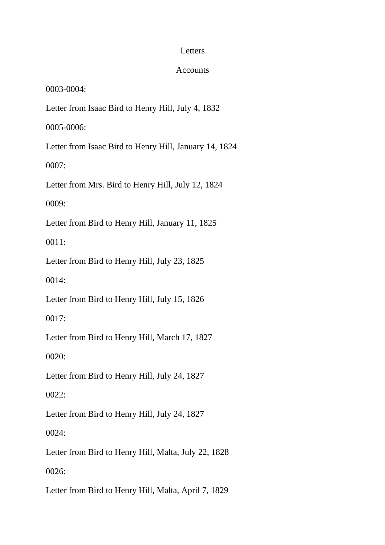## Letters

# Accounts

0003-0004:

Letter from Isaac Bird to Henry Hill, July 4, 1832

0005-0006:

Letter from Isaac Bird to Henry Hill, January 14, 1824

0007:

Letter from Mrs. Bird to Henry Hill, July 12, 1824

0009:

Letter from Bird to Henry Hill, January 11, 1825

0011:

Letter from Bird to Henry Hill, July 23, 1825

0014:

Letter from Bird to Henry Hill, July 15, 1826

0017:

Letter from Bird to Henry Hill, March 17, 1827

0020:

Letter from Bird to Henry Hill, July 24, 1827

0022:

Letter from Bird to Henry Hill, July 24, 1827

0024:

Letter from Bird to Henry Hill, Malta, July 22, 1828

0026:

Letter from Bird to Henry Hill, Malta, April 7, 1829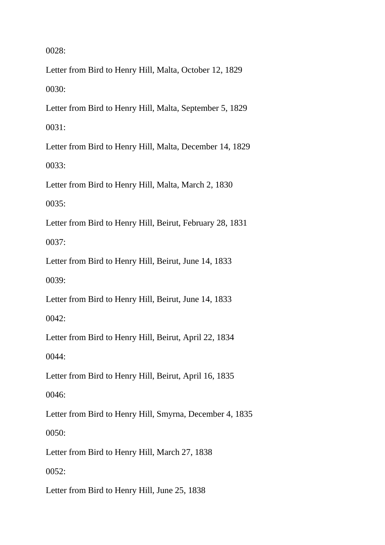Letter from Bird to Henry Hill, Malta, October 12, 1829 0030:

Letter from Bird to Henry Hill, Malta, September 5, 1829 0031:

Letter from Bird to Henry Hill, Malta, December 14, 1829 0033:

Letter from Bird to Henry Hill, Malta, March 2, 1830

0035:

Letter from Bird to Henry Hill, Beirut, February 28, 1831

0037:

Letter from Bird to Henry Hill, Beirut, June 14, 1833

0039:

Letter from Bird to Henry Hill, Beirut, June 14, 1833

0042:

Letter from Bird to Henry Hill, Beirut, April 22, 1834

0044:

Letter from Bird to Henry Hill, Beirut, April 16, 1835

0046:

Letter from Bird to Henry Hill, Smyrna, December 4, 1835

0050:

Letter from Bird to Henry Hill, March 27, 1838

0052:

Letter from Bird to Henry Hill, June 25, 1838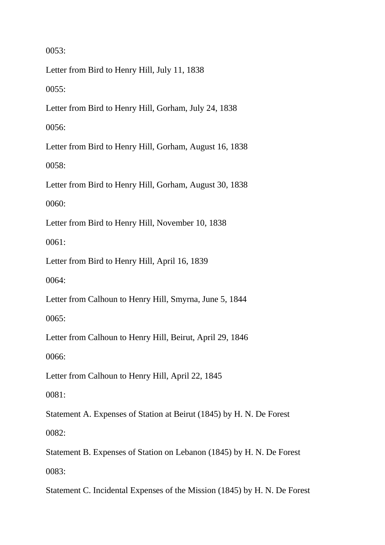Letter from Bird to Henry Hill, July 11, 1838

0055:

Letter from Bird to Henry Hill, Gorham, July 24, 1838

0056:

Letter from Bird to Henry Hill, Gorham, August 16, 1838 0058:

Letter from Bird to Henry Hill, Gorham, August 30, 1838

0060:

Letter from Bird to Henry Hill, November 10, 1838

0061:

Letter from Bird to Henry Hill, April 16, 1839

0064:

Letter from Calhoun to Henry Hill, Smyrna, June 5, 1844

0065:

Letter from Calhoun to Henry Hill, Beirut, April 29, 1846

0066:

Letter from Calhoun to Henry Hill, April 22, 1845

0081:

Statement A. Expenses of Station at Beirut (1845) by H. N. De Forest

0082:

Statement B. Expenses of Station on Lebanon (1845) by H. N. De Forest 0083:

Statement C. Incidental Expenses of the Mission (1845) by H. N. De Forest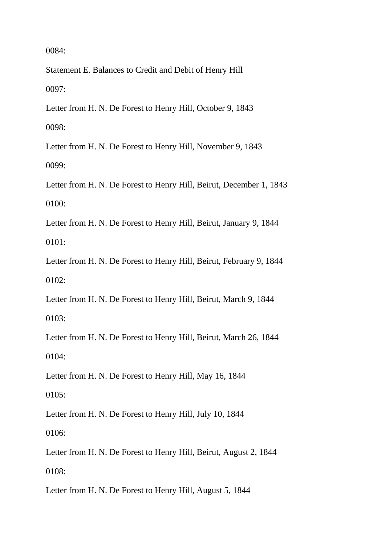Statement E. Balances to Credit and Debit of Henry Hill 0097:

Letter from H. N. De Forest to Henry Hill, October 9, 1843 0098:

Letter from H. N. De Forest to Henry Hill, November 9, 1843 0099:

Letter from H. N. De Forest to Henry Hill, Beirut, December 1, 1843 0100:

Letter from H. N. De Forest to Henry Hill, Beirut, January 9, 1844 0101:

Letter from H. N. De Forest to Henry Hill, Beirut, February 9, 1844 0102:

Letter from H. N. De Forest to Henry Hill, Beirut, March 9, 1844 0103:

Letter from H. N. De Forest to Henry Hill, Beirut, March 26, 1844 0104:

Letter from H. N. De Forest to Henry Hill, May 16, 1844

0105:

Letter from H. N. De Forest to Henry Hill, July 10, 1844

0106:

Letter from H. N. De Forest to Henry Hill, Beirut, August 2, 1844 0108:

Letter from H. N. De Forest to Henry Hill, August 5, 1844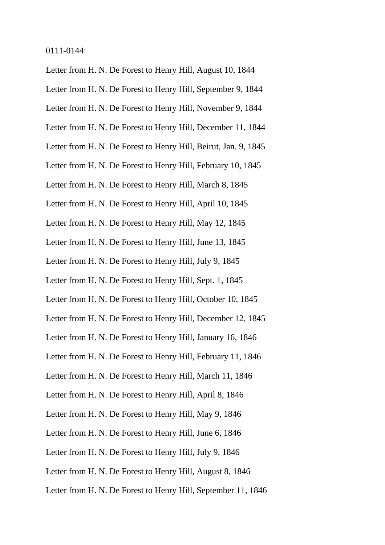0111-0144:

Letter from H. N. De Forest to Henry Hill, August 10, 1844 Letter from H. N. De Forest to Henry Hill, September 9, 1844 Letter from H. N. De Forest to Henry Hill, November 9, 1844

Letter from H. N. De Forest to Henry Hill, December 11, 1844

Letter from H. N. De Forest to Henry Hill, Beirut, Jan. 9, 1845

Letter from H. N. De Forest to Henry Hill, February 10, 1845

Letter from H. N. De Forest to Henry Hill, March 8, 1845

Letter from H. N. De Forest to Henry Hill, April 10, 1845

Letter from H. N. De Forest to Henry Hill, May 12, 1845

Letter from H. N. De Forest to Henry Hill, June 13, 1845

Letter from H. N. De Forest to Henry Hill, July 9, 1845

Letter from H. N. De Forest to Henry Hill, Sept. 1, 1845

Letter from H. N. De Forest to Henry Hill, October 10, 1845

Letter from H. N. De Forest to Henry Hill, December 12, 1845

Letter from H. N. De Forest to Henry Hill, January 16, 1846

Letter from H. N. De Forest to Henry Hill, February 11, 1846

Letter from H. N. De Forest to Henry Hill, March 11, 1846

Letter from H. N. De Forest to Henry Hill, April 8, 1846

Letter from H. N. De Forest to Henry Hill, May 9, 1846

Letter from H. N. De Forest to Henry Hill, June 6, 1846

Letter from H. N. De Forest to Henry Hill, July 9, 1846

Letter from H. N. De Forest to Henry Hill, August 8, 1846

Letter from H. N. De Forest to Henry Hill, September 11, 1846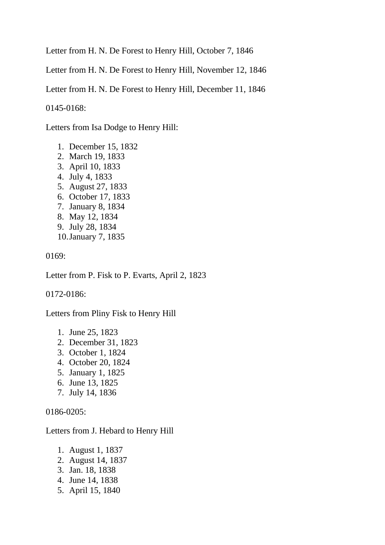Letter from H. N. De Forest to Henry Hill, October 7, 1846

Letter from H. N. De Forest to Henry Hill, November 12, 1846

Letter from H. N. De Forest to Henry Hill, December 11, 1846

0145-0168:

Letters from Isa Dodge to Henry Hill:

- 1. December 15, 1832
- 2. March 19, 1833
- 3. April 10, 1833
- 4. July 4, 1833
- 5. August 27, 1833
- 6. October 17, 1833
- 7. January 8, 1834
- 8. May 12, 1834
- 9. July 28, 1834
- 10.January 7, 1835

0169:

Letter from P. Fisk to P. Evarts, April 2, 1823

0172-0186:

Letters from Pliny Fisk to Henry Hill

- 1. June 25, 1823
- 2. December 31, 1823
- 3. October 1, 1824
- 4. October 20, 1824
- 5. January 1, 1825
- 6. June 13, 1825
- 7. July 14, 1836

0186-0205:

Letters from J. Hebard to Henry Hill

- 1. August 1, 1837
- 2. August 14, 1837
- 3. Jan. 18, 1838
- 4. June 14, 1838
- 5. April 15, 1840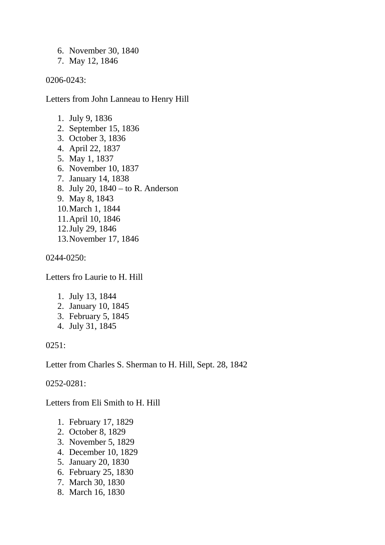- 6. November 30, 1840
- 7. May 12, 1846

0206-0243:

Letters from John Lanneau to Henry Hill

- 1. July 9, 1836
- 2. September 15, 1836
- 3. October 3, 1836
- 4. April 22, 1837
- 5. May 1, 1837
- 6. November 10, 1837
- 7. January 14, 1838
- 8. July 20, 1840 to R. Anderson
- 9. May 8, 1843
- 10.March 1, 1844
- 11.April 10, 1846
- 12.July 29, 1846
- 13.November 17, 1846

0244-0250:

Letters fro Laurie to H. Hill

- 1. July 13, 1844
- 2. January 10, 1845
- 3. February 5, 1845
- 4. July 31, 1845

0251:

Letter from Charles S. Sherman to H. Hill, Sept. 28, 1842

0252-0281:

Letters from Eli Smith to H. Hill

- 1. February 17, 1829
- 2. October 8, 1829
- 3. November 5, 1829
- 4. December 10, 1829
- 5. January 20, 1830
- 6. February 25, 1830
- 7. March 30, 1830
- 8. March 16, 1830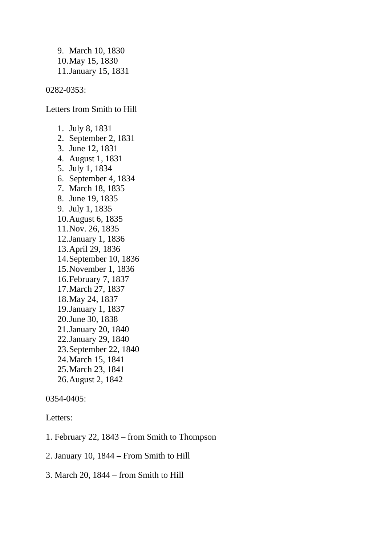9. March 10, 1830 10.May 15, 1830 11.January 15, 1831

0282-0353:

Letters from Smith to Hill

1. July 8, 1831 2. September 2, 1831 3. June 12, 1831 4. August 1, 1831 5. July 1, 1834 6. September 4, 1834 7. March 18, 1835 8. June 19, 1835 9. July 1, 1835 10.August 6, 1835 11.Nov. 26, 1835 12.January 1, 1836 13.April 29, 1836 14.September 10, 1836 15.November 1, 1836 16.February 7, 1837 17.March 27, 1837 18.May 24, 1837 19.January 1, 1837 20.June 30, 1838 21.January 20, 1840 22.January 29, 1840 23.September 22, 1840 24.March 15, 1841 25.March 23, 1841 26.August 2, 1842

0354-0405:

Letters:

- 1. February 22, 1843 from Smith to Thompson
- 2. January 10, 1844 From Smith to Hill
- 3. March 20, 1844 from Smith to Hill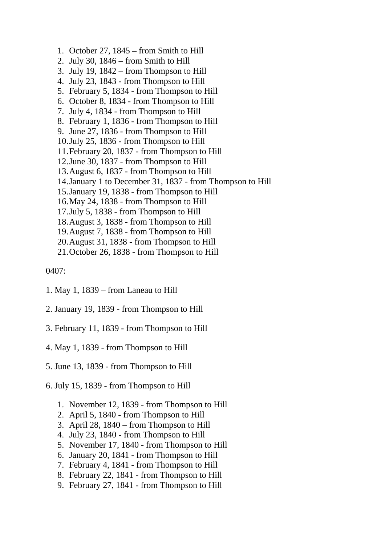- 1. October 27, 1845 from Smith to Hill
- 2. July 30, 1846 from Smith to Hill
- 3. July 19, 1842 from Thompson to Hill
- 4. July 23, 1843 from Thompson to Hill
- 5. February 5, 1834 from Thompson to Hill
- 6. October 8, 1834 from Thompson to Hill
- 7. July 4, 1834 from Thompson to Hill
- 8. February 1, 1836 from Thompson to Hill
- 9. June 27, 1836 from Thompson to Hill
- 10.July 25, 1836 from Thompson to Hill
- 11.February 20, 1837 from Thompson to Hill
- 12.June 30, 1837 from Thompson to Hill
- 13.August 6, 1837 from Thompson to Hill
- 14.January 1 to December 31, 1837 from Thompson to Hill
- 15.January 19, 1838 from Thompson to Hill
- 16.May 24, 1838 from Thompson to Hill
- 17.July 5, 1838 from Thompson to Hill
- 18.August 3, 1838 from Thompson to Hill
- 19.August 7, 1838 from Thompson to Hill
- 20.August 31, 1838 from Thompson to Hill
- 21.October 26, 1838 from Thompson to Hill

- 1. May 1, 1839 from Laneau to Hill
- 2. January 19, 1839 from Thompson to Hill
- 3. February 11, 1839 from Thompson to Hill
- 4. May 1, 1839 from Thompson to Hill
- 5. June 13, 1839 from Thompson to Hill
- 6. July 15, 1839 from Thompson to Hill
	- 1. November 12, 1839 from Thompson to Hill
	- 2. April 5, 1840 from Thompson to Hill
	- 3. April 28, 1840 from Thompson to Hill
	- 4. July 23, 1840 from Thompson to Hill
	- 5. November 17, 1840 from Thompson to Hill
	- 6. January 20, 1841 from Thompson to Hill
	- 7. February 4, 1841 from Thompson to Hill
	- 8. February 22, 1841 from Thompson to Hill
	- 9. February 27, 1841 from Thompson to Hill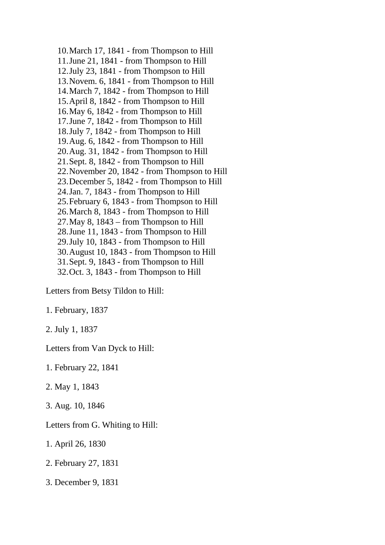10.March 17, 1841 - from Thompson to Hill 11.June 21, 1841 - from Thompson to Hill 12.July 23, 1841 - from Thompson to Hill 13.Novem. 6, 1841 - from Thompson to Hill 14.March 7, 1842 - from Thompson to Hill 15.April 8, 1842 - from Thompson to Hill 16.May 6, 1842 - from Thompson to Hill 17.June 7, 1842 - from Thompson to Hill 18.July 7, 1842 - from Thompson to Hill 19.Aug. 6, 1842 - from Thompson to Hill 20.Aug. 31, 1842 - from Thompson to Hill 21.Sept. 8, 1842 - from Thompson to Hill 22.November 20, 1842 - from Thompson to Hill 23.December 5, 1842 - from Thompson to Hill 24.Jan. 7, 1843 - from Thompson to Hill 25.February 6, 1843 - from Thompson to Hill 26.March 8, 1843 - from Thompson to Hill 27.May 8, 1843 – from Thompson to Hill 28.June 11, 1843 - from Thompson to Hill 29.July 10, 1843 - from Thompson to Hill 30.August 10, 1843 - from Thompson to Hill 31.Sept. 9, 1843 - from Thompson to Hill 32.Oct. 3, 1843 - from Thompson to Hill

Letters from Betsy Tildon to Hill:

1. February, 1837

2. July 1, 1837

Letters from Van Dyck to Hill:

1. February 22, 1841

2. May 1, 1843

3. Aug. 10, 1846

Letters from G. Whiting to Hill:

1. April 26, 1830

2. February 27, 1831

3. December 9, 1831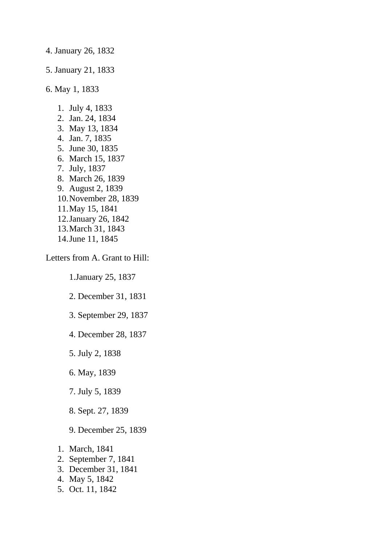4. January 26, 1832

5. January 21, 1833

6. May 1, 1833

- 1. July 4, 1833
- 2. Jan. 24, 1834
- 3. May 13, 1834
- 4. Jan. 7, 1835
- 5. June 30, 1835
- 6. March 15, 1837
- 7. July, 1837
- 8. March 26, 1839
- 9. August 2, 1839
- 10.November 28, 1839
- 11.May 15, 1841
- 12.January 26, 1842
- 13.March 31, 1843 14.June 11, 1845

Letters from A. Grant to Hill:

1.January 25, 1837

2. December 31, 1831

- 3. September 29, 1837
- 4. December 28, 1837
- 5. July 2, 1838
- 6. May, 1839
- 7. July 5, 1839
- 8. Sept. 27, 1839
- 9. December 25, 1839
- 1. March, 1841
- 2. September 7, 1841
- 3. December 31, 1841
- 4. May 5, 1842
- 5. Oct. 11, 1842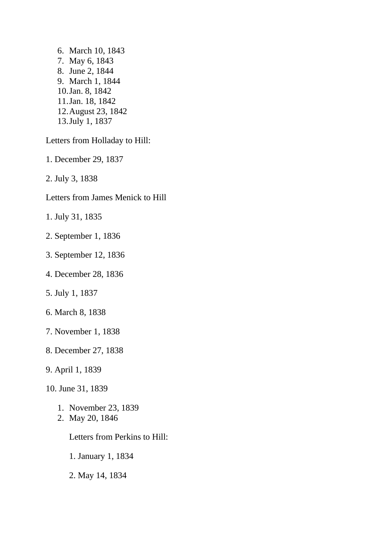6. March 10, 1843 7. May 6, 1843 8. June 2, 1844 9. March 1, 1844 10.Jan. 8, 1842 11.Jan. 18, 1842 12.August 23, 1842 13.July 1, 1837

Letters from Holladay to Hill:

- 1. December 29, 1837
- 2. July 3, 1838
- Letters from James Menick to Hill
- 1. July 31, 1835
- 2. September 1, 1836
- 3. September 12, 1836
- 4. December 28, 1836
- 5. July 1, 1837
- 6. March 8, 1838
- 7. November 1, 1838
- 8. December 27, 1838
- 9. April 1, 1839
- 10. June 31, 1839
	- 1. November 23, 1839
	- 2. May 20, 1846

Letters from Perkins to Hill:

1. January 1, 1834

2. May 14, 1834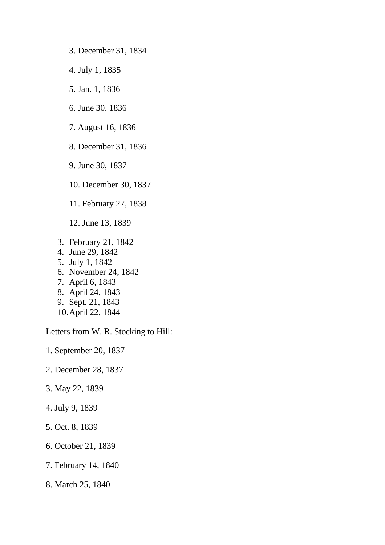- 3. December 31, 1834
- 4. July 1, 1835
- 5. Jan. 1, 1836
- 6. June 30, 1836
- 7. August 16, 1836
- 8. December 31, 1836
- 9. June 30, 1837
- 10. December 30, 1837
- 11. February 27, 1838
- 12. June 13, 1839
- 3. February 21, 1842
- 4. June 29, 1842
- 5. July 1, 1842
- 6. November 24, 1842
- 7. April 6, 1843
- 8. April 24, 1843
- 9. Sept. 21, 1843
- 10.April 22, 1844

Letters from W. R. Stocking to Hill:

- 1. September 20, 1837
- 2. December 28, 1837
- 3. May 22, 1839
- 4. July 9, 1839
- 5. Oct. 8, 1839
- 6. October 21, 1839
- 7. February 14, 1840
- 8. March 25, 1840